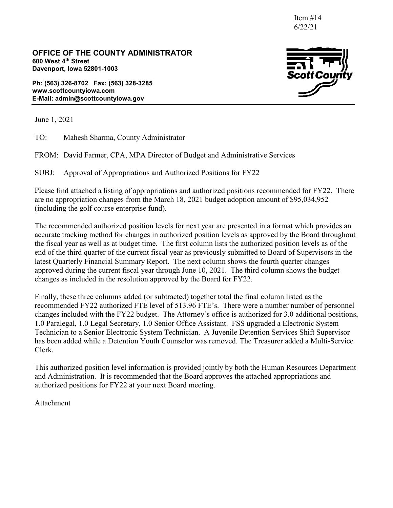Item #14 6/22/21

**OFFICE OF THE COUNTY ADMINISTRATOR 600 West 4th Street Davenport, Iowa 52801-1003**

**Ph: (563) 326-8702 Fax: (563) 328-3285 www.scottcountyiowa.com E-Mail: admin@scottcountyiowa.gov**



June 1, 2021

TO: Mahesh Sharma, County Administrator

FROM: David Farmer, CPA, MPA Director of Budget and Administrative Services

SUBJ: Approval of Appropriations and Authorized Positions for FY22

Please find attached a listing of appropriations and authorized positions recommended for FY22. There are no appropriation changes from the March 18, 2021 budget adoption amount of \$95,034,952 (including the golf course enterprise fund).

The recommended authorized position levels for next year are presented in a format which provides an accurate tracking method for changes in authorized position levels as approved by the Board throughout the fiscal year as well as at budget time. The first column lists the authorized position levels as of the end of the third quarter of the current fiscal year as previously submitted to Board of Supervisors in the latest Quarterly Financial Summary Report. The next column shows the fourth quarter changes approved during the current fiscal year through June 10, 2021. The third column shows the budget changes as included in the resolution approved by the Board for FY22.

Finally, these three columns added (or subtracted) together total the final column listed as the recommended FY22 authorized FTE level of 513.96 FTE's. There were a number number of personnel changes included with the FY22 budget. The Attorney's office is authorized for 3.0 additional positions, 1.0 Paralegal, 1.0 Legal Secretary, 1.0 Senior Office Assistant. FSS upgraded a Electronic System Technician to a Senior Electronic System Technician. A Juvenile Detention Services Shift Supervisor has been added while a Detention Youth Counselor was removed. The Treasurer added a Multi-Service Clerk.

This authorized position level information is provided jointly by both the Human Resources Department and Administration. It is recommended that the Board approves the attached appropriations and authorized positions for FY22 at your next Board meeting.

Attachment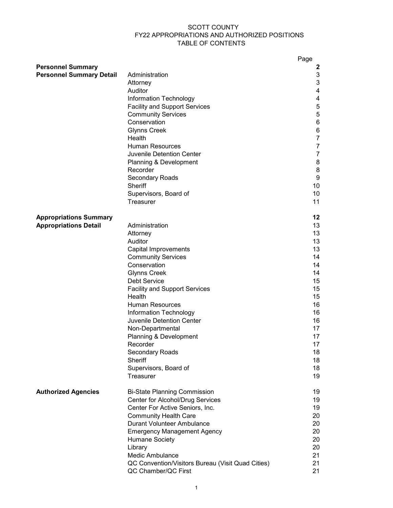#### SCOTT COUNTY FY22 APPROPRIATIONS AND AUTHORIZED POSITIONS TABLE OF CONTENTS

|                                 |                                                                   | Page           |
|---------------------------------|-------------------------------------------------------------------|----------------|
| <b>Personnel Summary</b>        |                                                                   | 2              |
| <b>Personnel Summary Detail</b> | Administration                                                    | 3              |
|                                 | Attorney                                                          | 3              |
|                                 | Auditor                                                           | 4              |
|                                 | Information Technology                                            | 4<br>5         |
|                                 | <b>Facility and Support Services</b><br><b>Community Services</b> | $\sqrt{5}$     |
|                                 | Conservation                                                      | 6              |
|                                 | <b>Glynns Creek</b>                                               | 6              |
|                                 | Health                                                            | $\overline{7}$ |
|                                 | <b>Human Resources</b>                                            | $\overline{7}$ |
|                                 | Juvenile Detention Center                                         | $\overline{7}$ |
|                                 | Planning & Development                                            | 8              |
|                                 | Recorder                                                          | 8              |
|                                 | Secondary Roads                                                   | 9              |
|                                 | Sheriff                                                           | 10             |
|                                 | Supervisors, Board of                                             | 10             |
|                                 | Treasurer                                                         | 11             |
| <b>Appropriations Summary</b>   |                                                                   | 12             |
| <b>Appropriations Detail</b>    | Administration                                                    | 13             |
|                                 | Attorney                                                          | 13             |
|                                 | Auditor                                                           | 13             |
|                                 | Capital Improvements                                              | 13             |
|                                 | <b>Community Services</b>                                         | 14             |
|                                 | Conservation                                                      | 14             |
|                                 | <b>Glynns Creek</b>                                               | 14             |
|                                 | <b>Debt Service</b>                                               | 15             |
|                                 | <b>Facility and Support Services</b>                              | 15             |
|                                 | Health                                                            | 15             |
|                                 | <b>Human Resources</b>                                            | 16             |
|                                 | Information Technology                                            | 16             |
|                                 | Juvenile Detention Center                                         | 16             |
|                                 | Non-Departmental<br>Planning & Development                        | 17<br>17       |
|                                 | Recorder                                                          | 17             |
|                                 | Secondary Roads                                                   | 18             |
|                                 | Sheriff                                                           | 18             |
|                                 | Supervisors, Board of                                             | 18             |
|                                 | Treasurer                                                         | 19             |
| <b>Authorized Agencies</b>      | <b>Bi-State Planning Commission</b>                               | 19             |
|                                 | Center for Alcohol/Drug Services                                  | 19             |
|                                 | Center For Active Seniors, Inc.                                   | 19             |
|                                 | <b>Community Health Care</b>                                      | 20             |
|                                 | <b>Durant Volunteer Ambulance</b>                                 | 20             |
|                                 | <b>Emergency Management Agency</b>                                | 20             |
|                                 | <b>Humane Society</b>                                             | 20             |
|                                 | Library                                                           | 20             |
|                                 | Medic Ambulance                                                   | 21             |
|                                 | QC Convention/Visitors Bureau (Visit Quad Cities)                 | 21             |
|                                 | QC Chamber/QC First                                               | 21             |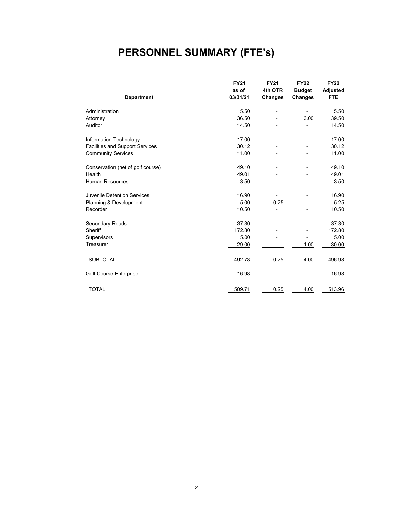# **PERSONNEL SUMMARY (FTE's)**

|                                        | <b>FY21</b> | <b>FY21</b>    | <b>FY22</b>              | <b>FY22</b>     |
|----------------------------------------|-------------|----------------|--------------------------|-----------------|
|                                        | as of       | 4th QTR        | <b>Budget</b>            | <b>Adjusted</b> |
| <b>Department</b>                      | 03/31/21    | <b>Changes</b> | <b>Changes</b>           | <b>FTE</b>      |
|                                        |             |                |                          |                 |
| Administration                         | 5.50        | $\overline{a}$ | $\overline{\phantom{0}}$ | 5.50            |
| Attorney                               | 36.50       |                | 3.00                     | 39.50           |
| Auditor                                | 14.50       |                |                          | 14.50           |
| Information Technology                 | 17.00       |                | $\overline{\phantom{a}}$ | 17.00           |
| <b>Facilities and Support Services</b> | 30.12       |                |                          | 30.12           |
| <b>Community Services</b>              | 11.00       |                |                          | 11.00           |
| Conservation (net of golf course)      | 49.10       |                | $\overline{\phantom{0}}$ | 49.10           |
| Health                                 | 49.01       |                |                          | 49.01           |
| <b>Human Resources</b>                 | 3.50        |                |                          | 3.50            |
| Juvenile Detention Services            | 16.90       |                | $\blacksquare$           | 16.90           |
| Planning & Development                 | 5.00        | 0.25           |                          | 5.25            |
| Recorder                               | 10.50       |                |                          | 10.50           |
| Secondary Roads                        | 37.30       |                | $\overline{\phantom{a}}$ | 37.30           |
| Sheriff                                | 172.80      |                |                          | 172.80          |
| Supervisors                            | 5.00        |                |                          | 5.00            |
| Treasurer                              | 29.00       |                | 1.00                     | 30.00           |
| <b>SUBTOTAL</b>                        | 492.73      | 0.25           | 4.00                     | 496.98          |
| <b>Golf Course Enterprise</b>          | 16.98       |                |                          | 16.98           |
| <b>TOTAL</b>                           | 509.71      | 0.25           | 4.00                     | 513.96          |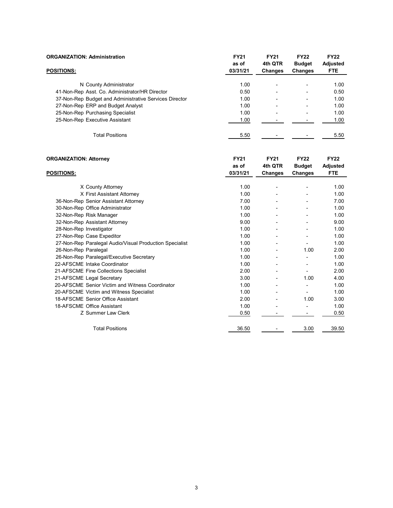| <b>ORGANIZATION: Administration</b>                    | <b>FY21</b><br>as of | <b>FY21</b><br>4th QTR   | <b>FY22</b><br><b>Budget</b> | <b>FY22</b><br>Adjusted |
|--------------------------------------------------------|----------------------|--------------------------|------------------------------|-------------------------|
| <b>POSITIONS:</b>                                      | 03/31/21             | <b>Changes</b>           | Changes                      | <b>FTE</b>              |
| N County Administrator                                 | 1.00                 | $\overline{\phantom{0}}$ | $\overline{\phantom{0}}$     | 1.00                    |
| 41-Non-Rep Asst. Co. Administrator/HR Director         | 0.50                 | $\overline{\phantom{0}}$ | -                            | 0.50                    |
| 37-Non-Rep Budget and Administrative Services Director | 1.00                 | $\overline{\phantom{0}}$ | -                            | 1.00                    |
| 27-Non-Rep ERP and Budget Analyst                      | 1.00                 | $\overline{\phantom{0}}$ | -                            | 1.00                    |
| 25-Non-Rep Purchasing Specialist                       | 1.00                 | $\overline{\phantom{0}}$ | $\blacksquare$               | 1.00                    |
| 25-Non-Rep Executive Assistant                         | 1.00                 |                          |                              | 1.00                    |
| <b>Total Positions</b>                                 | 5.50                 |                          |                              | 5.50                    |

| <b>ORGANIZATION: Attorney</b>                           | <b>FY21</b>       | <b>FY21</b>        | <b>FY22</b>              | <b>FY22</b>                   |
|---------------------------------------------------------|-------------------|--------------------|--------------------------|-------------------------------|
| <b>POSITIONS:</b>                                       | as of<br>03/31/21 | 4th QTR<br>Changes | <b>Budget</b><br>Changes | <b>Adjusted</b><br><b>FTE</b> |
|                                                         |                   |                    |                          |                               |
| X County Attorney                                       | 1.00              |                    |                          | 1.00                          |
| X First Assistant Attorney                              | 1.00              |                    |                          | 1.00                          |
| 36-Non-Rep Senior Assistant Attorney                    | 7.00              |                    |                          | 7.00                          |
| 30-Non-Rep Office Administrator                         | 1.00              |                    |                          | 1.00                          |
| 32-Non-Rep Risk Manager                                 | 1.00              |                    |                          | 1.00                          |
| 32-Non-Rep Assistant Attorney                           | 9.00              |                    |                          | 9.00                          |
| 28-Non-Rep Investigator                                 | 1.00              |                    |                          | 1.00                          |
| 27-Non-Rep Case Expeditor                               | 1.00              |                    |                          | 1.00                          |
| 27-Non-Rep Paralegal Audio/Visual Production Specialist | 1.00              |                    |                          | 1.00                          |
| 26-Non-Rep Paralegal                                    | 1.00              | $\blacksquare$     | 1.00                     | 2.00                          |
| 26-Non-Rep Paralegal/Executive Secretary                | 1.00              |                    |                          | 1.00                          |
| 22-AFSCME Intake Coordinator                            | 1.00              |                    |                          | 1.00                          |
| 21-AFSCME Fine Collections Specialist                   | 2.00              |                    |                          | 2.00                          |
| 21-AFSCME Legal Secretary                               | 3.00              |                    | 1.00                     | 4.00                          |
| 20-AFSCME Senior Victim and Witness Coordinator         | 1.00              |                    |                          | 1.00                          |
| 20-AFSCME Victim and Witness Specialist                 | 1.00              |                    |                          | 1.00                          |
| 18-AFSCME Senior Office Assistant                       | 2.00              |                    | 1.00                     | 3.00                          |
| 18-AFSCME Office Assistant                              | 1.00              |                    |                          | 1.00                          |
| Z Summer Law Clerk                                      | 0.50              |                    |                          | 0.50                          |
| <b>Total Positions</b>                                  | 36.50             |                    | 3.00                     | 39.50                         |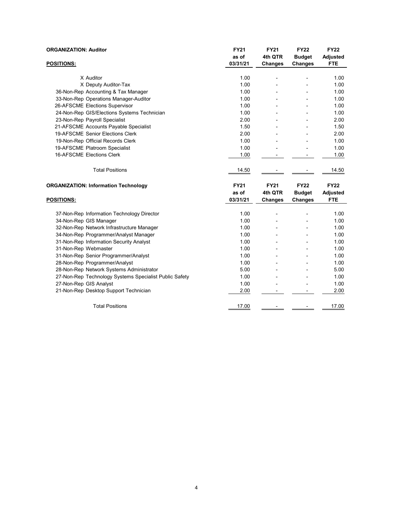| <b>ORGANIZATION: Auditor</b>                           | <b>FY21</b> | <b>FY21</b>    | <b>FY22</b>    | <b>FY22</b>     |
|--------------------------------------------------------|-------------|----------------|----------------|-----------------|
|                                                        | as of       | 4th QTR        | <b>Budget</b>  | <b>Adjusted</b> |
| <b>POSITIONS:</b>                                      | 03/31/21    | Changes        | <b>Changes</b> | <b>FTE</b>      |
|                                                        |             |                |                |                 |
| X Auditor                                              | 1.00        | $\overline{a}$ |                | 1.00            |
| X Deputy Auditor-Tax                                   | 1.00        |                |                | 1.00            |
| 36-Non-Rep Accounting & Tax Manager                    | 1.00        |                |                | 1.00            |
| 33-Non-Rep Operations Manager-Auditor                  | 1.00        |                |                | 1.00            |
| 26-AFSCME Elections Supervisor                         | 1.00        |                |                | 1.00            |
| 24-Non-Rep GIS/Elections Systems Technician            | 1.00        |                |                | 1.00            |
| 23-Non-Rep Payroll Specialist                          | 2.00        |                |                | 2.00            |
| 21-AFSCME Accounts Payable Specialist                  | 1.50        |                |                | 1.50            |
| 19-AFSCME Senior Elections Clerk                       | 2.00        |                |                | 2.00            |
| 19-Non-Rep Official Records Clerk                      | 1.00        |                |                | 1.00            |
| 19-AFSCME Platroom Specialist                          | 1.00        |                |                | 1.00            |
| 16-AFSCME Elections Clerk                              | 1.00        |                |                | 1.00            |
| <b>Total Positions</b>                                 | 14.50       |                |                | 14.50           |
|                                                        |             |                |                |                 |
| <b>ORGANIZATION: Information Technology</b>            | <b>FY21</b> | <b>FY21</b>    | <b>FY22</b>    | <b>FY22</b>     |
|                                                        | as of       | 4th QTR        | <b>Budget</b>  | <b>Adjusted</b> |
| <b>POSITIONS:</b>                                      | 03/31/21    | <b>Changes</b> | <b>Changes</b> | <b>FTE</b>      |
| 37-Non-Rep Information Technology Director             | 1.00        | $\overline{a}$ |                | 1.00            |
| 34-Non-Rep GIS Manager                                 | 1.00        |                |                | 1.00            |
| 32-Non-Rep Network Infrastructure Manager              | 1.00        |                | $\overline{a}$ | 1.00            |
| 34-Non-Rep Programmer/Analyst Manager                  | 1.00        |                |                | 1.00            |
| 31-Non-Rep Information Security Analyst                | 1.00        |                |                | 1.00            |
| 31-Non-Rep Webmaster                                   | 1.00        |                |                | 1.00            |
| 31-Non-Rep Senior Programmer/Analyst                   | 1.00        |                |                | 1.00            |
| 28-Non-Rep Programmer/Analyst                          | 1.00        |                |                | 1.00            |
| 28-Non-Rep Network Systems Administrator               | 5.00        |                |                | 5.00            |
| 27-Non-Rep Technology Systems Specialist Public Safety | 1.00        |                |                | 1.00            |
| 27-Non-Rep GIS Analyst                                 | 1.00        |                |                | 1.00            |
| 21-Non-Rep Desktop Support Technician                  | 2.00        |                |                | 2.00            |
| <b>Total Positions</b>                                 | 17.00       |                |                | 17.00           |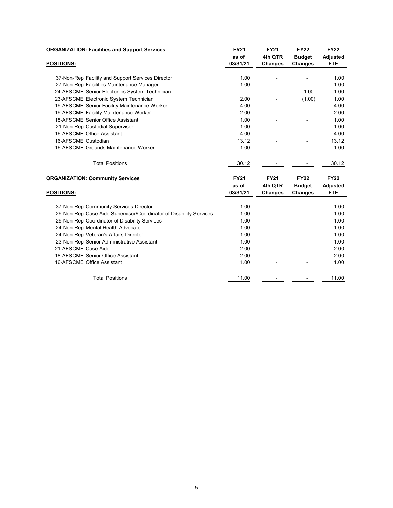| <b>ORGANIZATION: Facilities and Support Services</b>               | <b>FY21</b>              | <b>FY21</b>    | <b>FY22</b>    | <b>FY22</b>     |
|--------------------------------------------------------------------|--------------------------|----------------|----------------|-----------------|
|                                                                    | as of                    | 4th QTR        | <b>Budget</b>  | <b>Adjusted</b> |
| <b>POSITIONS:</b>                                                  | 03/31/21                 | Changes        | <b>Changes</b> | <b>FTE</b>      |
|                                                                    |                          |                |                |                 |
| 37-Non-Rep Facility and Support Services Director                  | 1.00                     |                |                | 1.00            |
| 27-Non-Rep Facilities Maintenance Manager                          | 1.00                     |                |                | 1.00            |
| 24-AFSCME Senior Electonics System Technician                      | $\overline{\phantom{a}}$ |                | 1.00           | 1.00            |
| 23-AFSCME Electronic System Technician                             | 2.00                     |                | (1.00)         | 1.00            |
| 19-AFSCME Senior Facility Maintenance Worker                       | 4.00                     |                |                | 4.00            |
| 19-AFSCME Facility Maintenance Worker                              | 2.00                     |                |                | 2.00            |
| 18-AFSCME Senior Office Assistant                                  | 1.00                     |                |                | 1.00            |
| 21-Non-Rep Custodial Supervisor                                    | 1.00                     |                |                | 1.00            |
| 16-AFSCME Office Assistant                                         | 4.00                     |                |                | 4.00            |
| 16-AFSCME Custodian                                                | 13.12                    |                |                | 13.12           |
| 16-AFSCME Grounds Maintenance Worker                               | 1.00                     |                |                | 1.00            |
| <b>Total Positions</b>                                             | 30.12                    |                |                | 30.12           |
| <b>ORGANIZATION: Community Services</b>                            | <b>FY21</b>              | <b>FY21</b>    | <b>FY22</b>    | <b>FY22</b>     |
|                                                                    | as of                    | 4th QTR        | <b>Budget</b>  | <b>Adjusted</b> |
| <b>POSITIONS:</b>                                                  | 03/31/21                 | <b>Changes</b> | <b>Changes</b> | <b>FTE</b>      |
| 37-Non-Rep Community Services Director                             | 1.00                     |                |                | 1.00            |
| 29-Non-Rep Case Aide Supervisor/Coordinator of Disability Services | 1.00                     |                |                | 1.00            |
| 29-Non-Rep Coordinator of Disability Services                      | 1.00                     |                |                | 1.00            |
| 24-Non-Rep Mental Health Advocate                                  | 1.00                     |                |                | 1.00            |
| 24-Non-Rep Veteran's Affairs Director                              | 1.00                     |                |                | 1.00            |
| 23-Non-Rep Senior Administrative Assistant                         | 1.00                     |                |                | 1.00            |
| 21-AFSCME Case Aide                                                | 2.00                     |                |                | 2.00            |
| 18-AFSCME Senior Office Assistant                                  | 2.00                     |                |                | 2.00            |
| 16-AFSCME Office Assistant                                         | 1.00                     |                |                | 1.00            |
| <b>Total Positions</b>                                             | 11.00                    |                |                | 11.00           |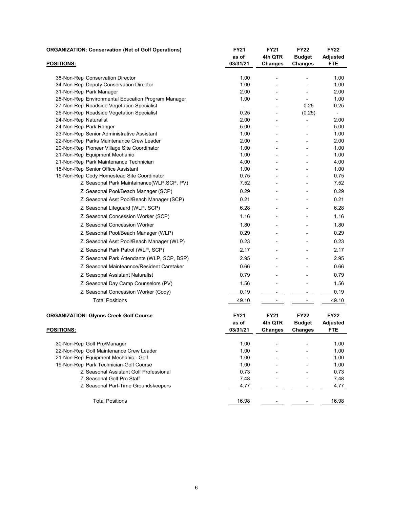|                        | <b>ORGANIZATION: Conservation (Net of Golf Operations)</b> | FY21                     | <b>FY21</b>              | <b>FY22</b>              | <b>FY22</b>              |  |
|------------------------|------------------------------------------------------------|--------------------------|--------------------------|--------------------------|--------------------------|--|
|                        |                                                            | as of                    | 4th QTR                  | <b>Budget</b>            | <b>Adjusted</b>          |  |
| <b>POSITIONS:</b>      |                                                            | 03/31/21                 | <b>Changes</b>           | <b>Changes</b>           | <b>FTE</b>               |  |
|                        |                                                            |                          |                          |                          |                          |  |
|                        | 38-Non-Rep Conservation Director                           | 1.00                     |                          |                          | 1.00                     |  |
|                        | 34-Non-Rep Deputy Conservation Director                    | 1.00                     |                          |                          | 1.00                     |  |
|                        | 31-Non-Rep Park Manager                                    | 2.00                     |                          |                          | 2.00                     |  |
|                        | 28-Non-Rep Environmental Education Program Manager         | 1.00                     |                          |                          | 1.00                     |  |
|                        | 27-Non-Rep Roadside Vegetation Specialist                  | $\overline{\phantom{0}}$ |                          | 0.25                     | 0.25                     |  |
|                        | 26-Non-Rep Roadside Vegetation Specialist                  | 0.25                     | $\blacksquare$           | (0.25)                   | $\overline{\phantom{a}}$ |  |
| 24-Non-Rep Naturalist  |                                                            | 2.00<br>5.00             |                          |                          | 2.00<br>5.00             |  |
| 24-Non-Rep Park Ranger | 23-Non-Rep Senior Administrative Assistant                 | 1.00                     |                          |                          | 1.00                     |  |
|                        | 22-Non-Rep Parks Maintenance Crew Leader                   | 2.00                     |                          |                          | 2.00                     |  |
|                        | 20-Non-Rep Pioneer Village Site Coordinator                | 1.00                     | $\overline{\phantom{a}}$ | $\blacksquare$           | 1.00                     |  |
|                        | 21-Non-Rep Equipment Mechanic                              | 1.00                     |                          |                          | 1.00                     |  |
|                        | 21-Non-Rep Park Maintenance Technician                     | 4.00                     |                          |                          | 4.00                     |  |
|                        | 18-Non-Rep Senior Office Assistant                         | 1.00                     |                          |                          | 1.00                     |  |
|                        | 15-Non-Rep Cody Homestead Site Coordinator                 | 0.75                     |                          |                          | 0.75                     |  |
|                        | Z Seasonal Park Maintainance(WLP, SCP. PV)                 | 7.52                     |                          |                          | 7.52                     |  |
|                        | Z Seasonal Pool/Beach Manager (SCP)                        | 0.29                     |                          |                          | 0.29                     |  |
|                        | Z Seasonal Asst Pool/Beach Manager (SCP)                   | 0.21                     |                          | $\overline{\phantom{a}}$ | 0.21                     |  |
|                        | Z Seasonal Lifeguard (WLP, SCP)                            | 6.28                     |                          |                          | 6.28                     |  |
|                        | Z Seasonal Concession Worker (SCP)                         | 1.16                     |                          |                          | 1.16                     |  |
|                        | Z Seasonal Concession Worker                               | 1.80                     |                          |                          | 1.80                     |  |
|                        | Z Seasonal Pool/Beach Manager (WLP)                        | 0.29                     |                          |                          | 0.29                     |  |
|                        | Z Seasonal Asst Pool/Beach Manager (WLP)                   | 0.23                     |                          |                          | 0.23                     |  |
|                        | Z Seasonal Park Patrol (WLP, SCP)                          | 2.17                     |                          |                          | 2.17                     |  |
|                        | Z Seasonal Park Attendants (WLP, SCP, BSP)                 | 2.95                     |                          |                          | 2.95                     |  |
|                        | Z Seasonal Mainteannce/Resident Caretaker                  | 0.66                     |                          |                          | 0.66                     |  |
|                        | Z Seasonal Assistant Naturalist                            | 0.79                     |                          |                          | 0.79                     |  |
|                        | Z Seasonal Day Camp Counselors (PV)                        | 1.56                     |                          |                          | 1.56                     |  |
|                        | Z Seasonal Concession Worker (Cody)                        | 0.19                     | -                        | -                        | 0.19                     |  |
|                        | <b>Total Positions</b>                                     | 49.10                    | $\overline{\phantom{0}}$ | $\overline{a}$           | 49.10                    |  |
|                        |                                                            |                          |                          |                          |                          |  |
|                        | <b>ORGANIZATION: Glynns Creek Golf Course</b>              | <b>FY21</b>              | <b>FY21</b>              | <b>FY22</b>              | <b>FY22</b>              |  |
|                        |                                                            | as of                    | 4th QTR                  | <b>Budget</b>            | <b>Adjusted</b>          |  |
| <u>POSITIONS:</u>      |                                                            | 03/31/21                 | <b>Changes</b>           | Changes                  | <b>FTE</b>               |  |
|                        | 30-Non-Rep Golf Pro/Manager                                | 1.00                     |                          |                          | 1.00                     |  |
|                        | 22-Non-Rep Golf Maintenance Crew Leader                    | 1.00                     |                          |                          | 1.00                     |  |
|                        | 21-Non-Rep Equipment Mechanic - Golf                       | 1.00                     |                          |                          | 1.00                     |  |
|                        | 19-Non-Rep Park Technician-Golf Course                     | 1.00                     |                          |                          | 1.00                     |  |
|                        | Z Seasonal Assistant Golf Professional                     | 0.73                     |                          |                          | 0.73                     |  |
|                        | Z Seasonal Golf Pro Staff                                  | 7.48                     |                          |                          | 7.48                     |  |
|                        | Z Seasonal Part-Time Groundskeepers                        | 4.77                     |                          |                          | 4.77                     |  |
|                        |                                                            |                          |                          |                          |                          |  |
|                        | <b>Total Positions</b>                                     | 16.98                    | $\overline{\phantom{a}}$ |                          | 16.98                    |  |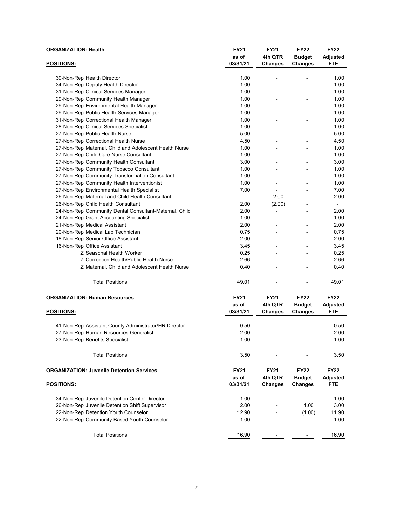| <b>ORGANIZATION: Health</b>                            | <b>FY21</b><br>as of | <b>FY21</b><br>4th QTR   | <b>FY22</b><br><b>Budget</b> | <b>FY22</b><br><b>Adjusted</b> |
|--------------------------------------------------------|----------------------|--------------------------|------------------------------|--------------------------------|
| <b>POSITIONS:</b>                                      | 03/31/21             | <b>Changes</b>           | Changes                      | <b>FTE</b>                     |
|                                                        |                      | $\overline{\phantom{a}}$ |                              |                                |
| 39-Non-Rep Health Director                             | 1.00                 |                          | ۰                            | 1.00                           |
| 34-Non-Rep Deputy Health Director                      | 1.00                 |                          |                              | 1.00                           |
| 31-Non-Rep Clinical Services Manager                   | 1.00                 |                          |                              | 1.00                           |
| 29-Non-Rep Community Health Manager                    | 1.00                 |                          |                              | 1.00                           |
| 29-Non-Rep Environmental Health Manager                | 1.00                 | $\overline{a}$           |                              | 1.00                           |
| 29-Non-Rep Public Health Services Manager              | 1.00                 | $\overline{\phantom{a}}$ | $\overline{\phantom{a}}$     | 1.00                           |
| 31-Non-Rep Correctional Health Manager                 | 1.00                 | $\overline{a}$           | $\overline{a}$               | 1.00                           |
| 28-Non-Rep Clinical Services Specialist                | 1.00                 |                          |                              | 1.00                           |
| 27-Non-Rep Public Health Nurse                         | 5.00                 | $\overline{\phantom{a}}$ |                              | 5.00                           |
| 27-Non-Rep Correctional Health Nurse                   | 4.50                 |                          |                              | 4.50                           |
| 27-Non-Rep Maternal, Child and Adolescent Health Nurse | 1.00                 |                          |                              | 1.00                           |
| 27-Non-Rep Child Care Nurse Consultant                 | 1.00                 | $\blacksquare$           | $\blacksquare$               | 1.00                           |
| 27-Non-Rep Community Health Consultant                 | 3.00                 | $\overline{a}$           | $\overline{\phantom{a}}$     | 3.00                           |
| 27-Non-Rep Community Tobacco Consultant                | 1.00                 |                          |                              | 1.00                           |
| 27-Non-Rep Community Transformation Consultant         | 1.00                 | $\overline{\phantom{a}}$ | $\blacksquare$               | 1.00                           |
| 27-Non-Rep Community Health Interventionist            | 1.00                 | $\blacksquare$           |                              | 1.00                           |
| 27-Non-Rep Environmental Health Specialist             | 7.00                 | $\overline{\phantom{a}}$ | ۰                            | 7.00                           |
| 26-Non-Rep Maternal and Child Health Consultant        | $\frac{1}{2}$        | 2.00                     |                              | 2.00                           |
| 26-Non-Rep Child Health Consultant                     | 2.00                 | (2.00)                   |                              | $\blacksquare$                 |
| 24-Non-Rep Community Dental Consultant-Maternal, Child | 2.00                 | $\overline{a}$           |                              | 2.00                           |
| 24-Non-Rep Grant Accounting Specialist                 | 1.00                 |                          |                              | 1.00                           |
| 21-Non-Rep Medical Assistant                           | 2.00                 |                          |                              | 2.00                           |
| 20-Non-Rep Medical Lab Technician                      | 0.75                 | $\overline{\phantom{a}}$ | $\overline{\phantom{a}}$     | 0.75                           |
| 18-Non-Rep Senior Office Assistant                     | 2.00                 |                          |                              | 2.00                           |
| 16-Non-Rep Office Assistant                            | 3.45                 |                          |                              | 3.45                           |
| Z Seasonal Health Worker                               | 0.25                 |                          |                              | 0.25                           |
| Z Correction Health/Public Health Nurse                | 2.66                 |                          |                              | 2.66                           |
| Z Maternal, Child and Adolescent Health Nurse          | 0.40                 | $\overline{\phantom{a}}$ | $\overline{\phantom{a}}$     | 0.40                           |
| <b>Total Positions</b>                                 | 49.01                |                          |                              | 49.01                          |
| <b>ORGANIZATION: Human Resources</b>                   | <b>FY21</b>          | <b>FY21</b>              | <b>FY22</b>                  | <b>FY22</b>                    |
|                                                        | as of                | 4th QTR                  | <b>Budget</b>                |                                |
| <b>POSITIONS:</b>                                      | 03/31/21             | <b>Changes</b>           | Changes                      | <b>Adjusted</b><br><b>FTE</b>  |
|                                                        |                      |                          |                              |                                |
| 41-Non-Rep Assistant County Administrator/HR Director  | 0.50                 |                          |                              | 0.50                           |
| 27-Non-Rep Human Resources Generalist                  | 2.00                 |                          |                              | 2.00                           |
| 23-Non-Rep Benefits Specialist                         | 1.00                 |                          |                              | 1.00                           |
|                                                        |                      |                          |                              |                                |
| <b>Total Positions</b>                                 | 3.50                 |                          |                              | 3.50                           |
| <b>ORGANIZATION: Juvenile Detention Services</b>       | FY21                 | <b>FY21</b>              | <b>FY22</b>                  | <b>FY22</b>                    |
|                                                        | as of                | 4th QTR                  | <b>Budget</b>                | <b>Adjusted</b>                |
| POSITIONS:                                             | 03/31/21             | <b>Changes</b>           | <b>Changes</b>               | <b>FTE</b>                     |
| 34-Non-Rep Juvenile Detention Center Director          | 1.00                 |                          |                              | 1.00                           |
| 26-Non-Rep Juvenile Detention Shift Supervisor         | 2.00                 |                          | 1.00                         | 3.00                           |
| 22-Non-Rep Detention Youth Counselor                   | 12.90                |                          | (1.00)                       | 11.90                          |
| 22-Non-Rep Community Based Youth Counselor             | 1.00                 |                          |                              | 1.00                           |
|                                                        |                      |                          |                              |                                |
| <b>Total Positions</b>                                 | 16.90                |                          |                              | 16.90                          |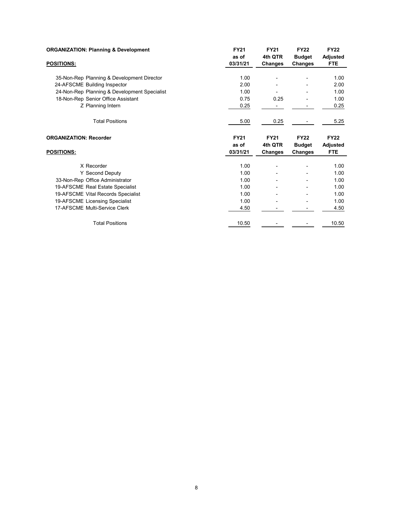| <b>ORGANIZATION: Planning &amp; Development</b> | <b>FY21</b> | <b>FY21</b> | <b>FY22</b>   | <b>FY22</b>     |
|-------------------------------------------------|-------------|-------------|---------------|-----------------|
|                                                 | as of       | 4th QTR     | <b>Budget</b> | <b>Adjusted</b> |
| POSITIONS:                                      | 03/31/21    | Changes     | Changes       | <b>FTE</b>      |
| 35-Non-Rep Planning & Development Director      | 1.00        |             |               | 1.00            |
| 24-AFSCME Building Inspector                    | 2.00        |             |               | 2.00            |
|                                                 | 1.00        |             |               | 1.00            |
| 24-Non-Rep Planning & Development Specialist    |             |             |               |                 |
| 18-Non-Rep Senior Office Assistant              | 0.75        | 0.25        |               | 1.00            |
| Z Planning Intern                               | 0.25        |             |               | 0.25            |
| <b>Total Positions</b>                          | 5.00        | 0.25        |               | 5.25            |
| <b>ORGANIZATION: Recorder</b>                   | <b>FY21</b> | <b>FY21</b> | <b>FY22</b>   | <b>FY22</b>     |
|                                                 | as of       | 4th QTR     | <b>Budget</b> | <b>Adjusted</b> |
| POSITIONS:                                      | 03/31/21    | Changes     | Changes       | <b>FTE</b>      |
| X Recorder                                      | 1.00        |             |               | 1.00            |
| Y Second Deputy                                 | 1.00        |             |               | 1.00            |
| 33-Non-Rep Office Administrator                 | 1.00        |             |               | 1.00            |
| 19-AFSCME Real Estate Specialist                | 1.00        |             |               | 1.00            |
|                                                 | 1.00        |             |               | 1.00            |
| 19-AFSCME Vital Records Specialist              |             |             |               |                 |
| 19-AFSCME Licensing Specialist                  | 1.00        |             |               | 1.00            |
| 17-AFSCME Multi-Service Clerk                   | 4.50        |             |               | 4.50            |
| <b>Total Positions</b>                          | 10.50       |             |               | 10.50           |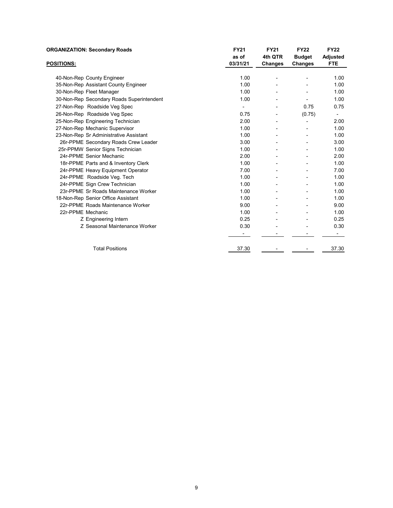| <b>ORGANIZATION: Secondary Roads</b>      | <b>FY21</b> | <b>FY21</b> | <b>FY22</b>   | <b>FY22</b>     |
|-------------------------------------------|-------------|-------------|---------------|-----------------|
|                                           | as of       | 4th QTR     | <b>Budget</b> | <b>Adjusted</b> |
| <b>POSITIONS:</b>                         | 03/31/21    | Changes     | Changes       | <b>FTE</b>      |
|                                           |             |             |               |                 |
| 40-Non-Rep County Engineer                | 1.00        |             |               | 1.00            |
| 35-Non-Rep Assistant County Engineer      | 1.00        |             |               | 1.00            |
| 30-Non-Rep Fleet Manager                  | 1.00        |             |               | 1.00            |
| 30-Non-Rep Secondary Roads Superintendent | 1.00        |             |               | 1.00            |
| 27-Non-Rep Roadside Veg Spec              |             |             | 0.75          | 0.75            |
| 26-Non-Rep Roadside Veg Spec              | 0.75        |             | (0.75)        |                 |
| 25-Non-Rep Engineering Technician         | 2.00        |             |               | 2.00            |
| 27-Non-Rep Mechanic Supervisor            | 1.00        |             |               | 1.00            |
| 23-Non-Rep Sr Administrative Assistant    | 1.00        |             |               | 1.00            |
| 26r-PPME Secondary Roads Crew Leader      | 3.00        |             |               | 3.00            |
| 25r-PPMW Senior Signs Technician          | 1.00        |             |               | 1.00            |
| 24r-PPME Senior Mechanic                  | 2.00        |             |               | 2.00            |
| 18r-PPME Parts and & Inventory Clerk      | 1.00        |             |               | 1.00            |
| 24r-PPME Heavy Equipment Operator         | 7.00        |             |               | 7.00            |
| 24r-PPME Roadside Veg. Tech               | 1.00        |             |               | 1.00            |
| 24r-PPME Sign Crew Technician             | 1.00        |             |               | 1.00            |
| 23r-PPME Sr Roads Maintenance Worker      | 1.00        |             |               | 1.00            |
| 18-Non-Rep Senior Office Assistant        | 1.00        |             |               | 1.00            |
| 22r-PPME Roads Maintenance Worker         | 9.00        |             |               | 9.00            |
| 22r-PPME Mechanic                         | 1.00        |             |               | 1.00            |
| Z Engineering Intern                      | 0.25        |             |               | 0.25            |
| Z Seasonal Maintenance Worker             | 0.30        |             |               | 0.30            |
|                                           |             |             |               |                 |
| <b>Total Positions</b>                    | 37.30       |             |               | 37.30           |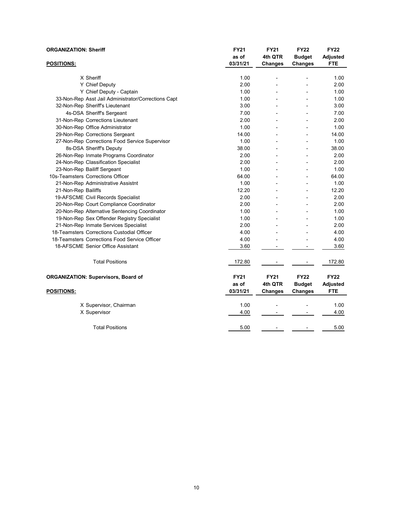| <b>ORGANIZATION: Sheriff</b>      |                                                     | <b>FY21</b><br>as of | <b>FY21</b><br>4th QTR   | <b>FY22</b><br><b>Budget</b> | <b>FY22</b><br><b>Adjusted</b> |
|-----------------------------------|-----------------------------------------------------|----------------------|--------------------------|------------------------------|--------------------------------|
| <b>POSITIONS:</b>                 |                                                     | 03/31/21             | Changes                  | <b>Changes</b>               | <b>FTE</b>                     |
|                                   | X Sheriff                                           | 1.00                 | $\overline{\phantom{a}}$ | ÷                            | 1.00                           |
|                                   | Y Chief Deputy                                      | 2.00                 |                          |                              | 2.00                           |
|                                   | Y Chief Deputy - Captain                            | 1.00                 |                          |                              | 1.00                           |
|                                   | 33-Non-Rep Asst Jail Administrator/Corrections Capt | 1.00                 |                          |                              | 1.00                           |
|                                   | 32-Non-Rep Sheriff's Lieutenant                     | 3.00                 |                          |                              | 3.00                           |
|                                   | 4s-DSA Sheriff's Sergeant                           | 7.00                 |                          |                              | 7.00                           |
|                                   | 31-Non-Rep Corrections Lieutenant                   | 2.00                 |                          |                              | 2.00                           |
|                                   | 30-Non-Rep Office Administrator                     | 1.00                 | $\overline{\phantom{a}}$ | $\overline{\phantom{a}}$     | 1.00                           |
|                                   | 29-Non-Rep Corrections Sergeant                     | 14.00                |                          |                              | 14.00                          |
|                                   | 27-Non-Rep Corrections Food Service Supervisor      | 1.00                 |                          |                              | 1.00                           |
|                                   | 8s-DSA Sheriff's Deputy                             | 38.00                |                          |                              | 38.00                          |
|                                   | 26-Non-Rep Inmate Programs Coordinator              | 2.00                 |                          |                              | 2.00                           |
|                                   | 24-Non-Rep Classification Specialist                | 2.00                 |                          |                              | 2.00                           |
| 23-Non-Rep Bailiff Sergeant       |                                                     | 1.00                 | $\overline{a}$           | L,                           | 1.00                           |
| 10s-Teamsters Corrections Officer |                                                     | 64.00                | L,                       | $\overline{a}$               | 64.00                          |
|                                   | 21-Non-Rep Administrative Assistnt                  | 1.00                 |                          |                              | 1.00                           |
| 21-Non-Rep Bailiffs               |                                                     | 12.20                |                          | L,                           | 12.20                          |
|                                   | 19-AFSCME Civil Records Specialist                  | 2.00                 |                          |                              | 2.00                           |
|                                   | 20-Non-Rep Court Compliance Coordinator             | 2.00                 |                          |                              | 2.00                           |
|                                   | 20-Non-Rep Alternative Sentencing Coordinator       | 1.00                 |                          |                              | 1.00                           |
|                                   | 19-Non-Rep Sex Offender Registry Specialist         | 1.00                 | $\overline{a}$           |                              | 1.00                           |
|                                   | 21-Non-Rep Inmate Services Specialist               | 2.00                 |                          |                              | 2.00                           |
|                                   | 18-Teamsters Corrections Custodial Officer          | 4.00                 |                          |                              | 4.00                           |
|                                   | 18-Teamsters Corrections Food Service Officer       | 4.00                 |                          |                              | 4.00                           |
|                                   | 18-AFSCME Senior Office Assistant                   | 3.60                 |                          |                              | 3.60                           |
|                                   | <b>Total Positions</b>                              | 172.80               |                          |                              | 172.80                         |
|                                   | <b>ORGANIZATION: Supervisors, Board of</b>          | <b>FY21</b>          | <b>FY21</b>              | <b>FY22</b>                  | <b>FY22</b>                    |
|                                   |                                                     | as of                | 4th QTR                  | <b>Budget</b>                | <b>Adjusted</b>                |
| <b>POSITIONS:</b>                 |                                                     | 03/31/21             | <b>Changes</b>           | Changes                      | <b>FTE</b>                     |
|                                   | X Supervisor, Chairman                              | 1.00                 |                          |                              | 1.00                           |
|                                   | X Supervisor                                        | 4.00                 |                          |                              | 4.00                           |
|                                   | <b>Total Positions</b>                              | 5.00                 |                          |                              | 5.00                           |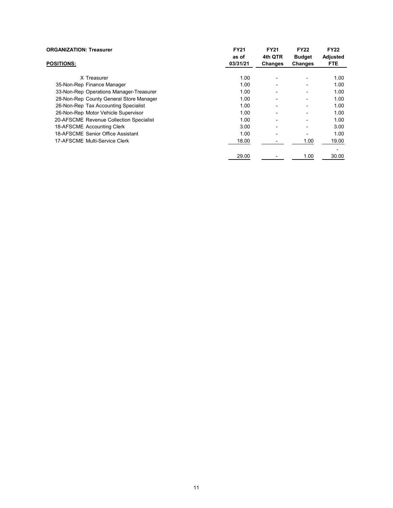| <b>ORGANIZATION: Treasurer</b>          | <b>FY21</b><br>as of | <b>FY21</b><br>4th QTR   | <b>FY22</b><br><b>Budget</b> | <b>FY22</b><br>Adjusted |
|-----------------------------------------|----------------------|--------------------------|------------------------------|-------------------------|
| <b>POSITIONS:</b>                       | 03/31/21             | Changes                  | <b>Changes</b>               | <b>FTE</b>              |
| X Treasurer                             | 1.00                 |                          |                              | 1.00                    |
| 35-Non-Rep Finance Manager              | 1.00                 |                          |                              | 1.00                    |
| 33-Non-Rep Operations Manager-Treasurer | 1.00                 |                          | -                            | 1.00                    |
| 28-Non-Rep County General Store Manager | 1.00                 |                          | $\overline{a}$               | 1.00                    |
| 26-Non-Rep Tax Accounting Specialist    | 1.00                 |                          | $\overline{a}$               | 1.00                    |
| 26-Non-Rep Motor Vehicle Supervisor     | 1.00                 |                          |                              | 1.00                    |
| 20-AFSCME Revenue Collection Specialist | 1.00                 | $\overline{\phantom{0}}$ | -                            | 1.00                    |
| 18-AFSCME Accounting Clerk              | 3.00                 |                          |                              | 3.00                    |
| 18-AFSCME Senior Office Assistant       | 1.00                 | $\overline{\phantom{0}}$ |                              | 1.00                    |
| 17-AFSCME Multi-Service Clerk           | 18.00                |                          | 1.00                         | 19.00                   |
|                                         |                      |                          |                              |                         |
|                                         | 29.00                |                          | 1.00                         | 30.00                   |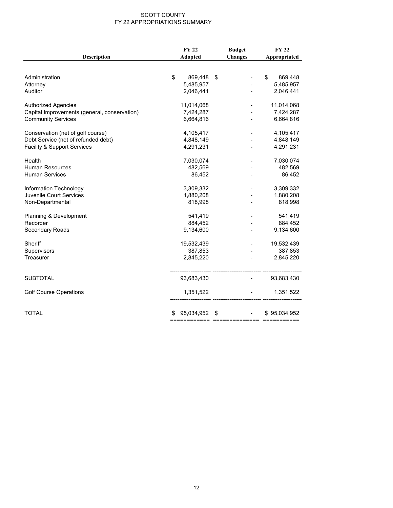#### SCOTT COUNTY FY 22 APPROPRIATIONS SUMMARY

| <b>Description</b>                           | <b>FY 22</b><br>Adopted | <b>Budget</b><br><b>Changes</b> | <b>FY 22</b><br>Appropriated |  |
|----------------------------------------------|-------------------------|---------------------------------|------------------------------|--|
|                                              |                         |                                 |                              |  |
| Administration                               | \$<br>869,448           | \$                              | \$<br>869,448                |  |
| Attorney                                     | 5,485,957               |                                 | 5,485,957                    |  |
| Auditor                                      | 2,046,441               |                                 | 2,046,441                    |  |
| <b>Authorized Agencies</b>                   | 11,014,068              |                                 | 11,014,068                   |  |
| Capital Improvements (general, conservation) | 7,424,287               |                                 | 7,424,287                    |  |
| <b>Community Services</b>                    | 6,664,816               |                                 | 6,664,816                    |  |
| Conservation (net of golf course)            | 4,105,417               |                                 | 4,105,417                    |  |
| Debt Service (net of refunded debt)          | 4,848,149               |                                 | 4,848,149                    |  |
| <b>Facility &amp; Support Services</b>       | 4,291,231               |                                 | 4,291,231                    |  |
| Health                                       | 7,030,074               |                                 | 7,030,074                    |  |
| <b>Human Resources</b>                       | 482,569                 |                                 | 482,569                      |  |
| <b>Human Services</b>                        | 86,452                  |                                 | 86,452                       |  |
| Information Technology                       | 3,309,332               |                                 | 3,309,332                    |  |
| Juvenile Court Services                      | 1,880,208               |                                 | 1,880,208                    |  |
| Non-Departmental                             | 818,998                 |                                 | 818,998                      |  |
| Planning & Development                       | 541,419                 |                                 | 541,419                      |  |
| Recorder                                     | 884,452                 |                                 | 884,452                      |  |
| Secondary Roads                              | 9,134,600               |                                 | 9,134,600                    |  |
| Sheriff                                      | 19,532,439              |                                 | 19,532,439                   |  |
| Supervisors                                  | 387,853                 |                                 | 387,853                      |  |
| Treasurer                                    | 2,845,220               |                                 | 2,845,220                    |  |
| <b>SUBTOTAL</b>                              | 93,683,430              |                                 | 93,683,430                   |  |
| <b>Golf Course Operations</b>                | 1,351,522               |                                 | 1,351,522                    |  |
|                                              |                         |                                 |                              |  |
| <b>TOTAL</b>                                 | 95,034,952              | \$                              | \$95,034,952                 |  |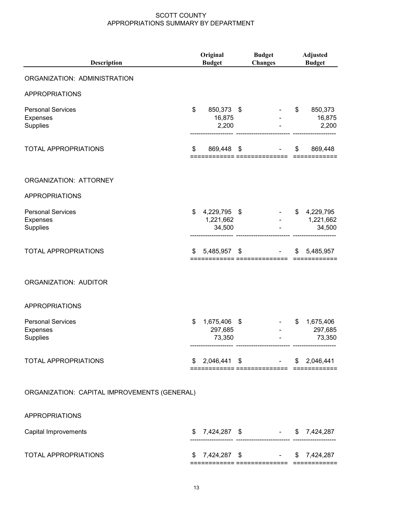| Description                                             | Original<br><b>Budget</b>                 | <b>Budget</b><br><b>Changes</b>                              |    | <b>Adjusted</b><br><b>Budget</b> |
|---------------------------------------------------------|-------------------------------------------|--------------------------------------------------------------|----|----------------------------------|
| ORGANIZATION: ADMINISTRATION                            |                                           |                                                              |    |                                  |
| <b>APPROPRIATIONS</b>                                   |                                           |                                                              |    |                                  |
| <b>Personal Services</b><br>Expenses<br>Supplies        | \$<br>850,373 \$<br>16,875<br>2,200       |                                                              | \$ | 850,373<br>16,875<br>2,200       |
| TOTAL APPROPRIATIONS                                    | \$<br>869,448 \$                          |                                                              | \$ | 869,448                          |
| ORGANIZATION: ATTORNEY                                  |                                           |                                                              |    |                                  |
| <b>APPROPRIATIONS</b>                                   |                                           |                                                              |    |                                  |
| <b>Personal Services</b><br><b>Expenses</b><br>Supplies | \$<br>4,229,795 \$<br>1,221,662<br>34,500 |                                                              | \$ | 4,229,795<br>1,221,662<br>34,500 |
| <b>TOTAL APPROPRIATIONS</b>                             | \$<br>5,485,957                           | \$                                                           | S  | 5,485,957                        |
| ORGANIZATION: AUDITOR                                   |                                           |                                                              |    |                                  |
| <b>APPROPRIATIONS</b>                                   |                                           |                                                              |    |                                  |
| <b>Personal Services</b><br><b>Expenses</b><br>Supplies | \$<br>1,675,406<br>297,685<br>73,350      | \$                                                           | \$ | 1,675,406<br>297,685<br>73,350   |
| TOTAL APPROPRIATIONS                                    | \$                                        | $2,046,441$ \$ $-$ \$ 2,046,441<br>== =============== ====== |    |                                  |
| ORGANIZATION: CAPITAL IMPROVEMENTS (GENERAL)            |                                           |                                                              |    |                                  |
| <b>APPROPRIATIONS</b>                                   |                                           |                                                              |    |                                  |
| Capital Improvements                                    |                                           | $$7,424,287$ \$ $$7,424,287$                                 |    |                                  |

TOTAL APPROPRIATIONS  $$7,424,287$  \$  $7,424,287$ ============ ============== ============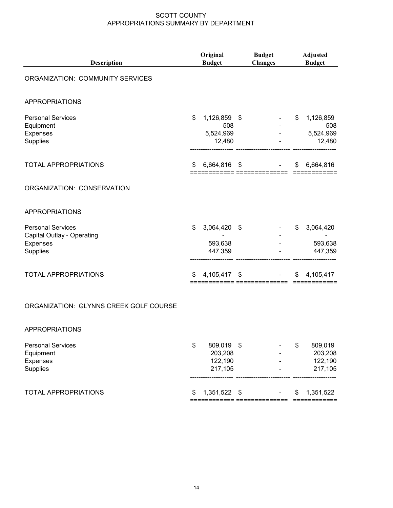| <b>Description</b>                                                                    | Original<br><b>Budget</b>                        | <b>Budget</b><br><b>Changes</b> | <b>Adjusted</b><br><b>Budget</b>              |
|---------------------------------------------------------------------------------------|--------------------------------------------------|---------------------------------|-----------------------------------------------|
| ORGANIZATION: COMMUNITY SERVICES                                                      |                                                  |                                 |                                               |
| <b>APPROPRIATIONS</b>                                                                 |                                                  |                                 |                                               |
| <b>Personal Services</b><br>Equipment<br>Expenses<br>Supplies                         | \$<br>1,126,859 \$<br>508<br>5,524,969<br>12,480 |                                 | \$<br>1,126,859<br>508<br>5,524,969<br>12,480 |
| <b>TOTAL APPROPRIATIONS</b>                                                           | \$<br>6,664,816 \$                               |                                 | \$<br>6,664,816                               |
| ORGANIZATION: CONSERVATION                                                            |                                                  |                                 |                                               |
| <b>APPROPRIATIONS</b>                                                                 |                                                  |                                 |                                               |
| <b>Personal Services</b><br>Capital Outlay - Operating<br><b>Expenses</b><br>Supplies | \$<br>3,064,420<br>593,638<br>447,359            | \$                              | \$<br>3,064,420<br>593,638<br>447,359         |
| <b>TOTAL APPROPRIATIONS</b>                                                           | \$<br>4,105,417 \$                               |                                 | \$<br>4,105,417                               |

#### ORGANIZATION: GLYNNS CREEK GOLF COURSE

#### APPROPRIATIONS

| <b>Personal Services</b><br>Equipment<br>Expenses<br>Supplies | \$ | 809.019 \$<br>203,208<br>122,190<br>217,105 | ۰<br>$\overline{\phantom{0}}$<br>$\blacksquare$<br>$\overline{\phantom{0}}$ |     | 809,019<br>203,208<br>122,190<br>217,105 |
|---------------------------------------------------------------|----|---------------------------------------------|-----------------------------------------------------------------------------|-----|------------------------------------------|
| <b>TOTAL APPROPRIATIONS</b>                                   | S  | 1,351,522 \$                                | ۰                                                                           | \$. | 1,351,522                                |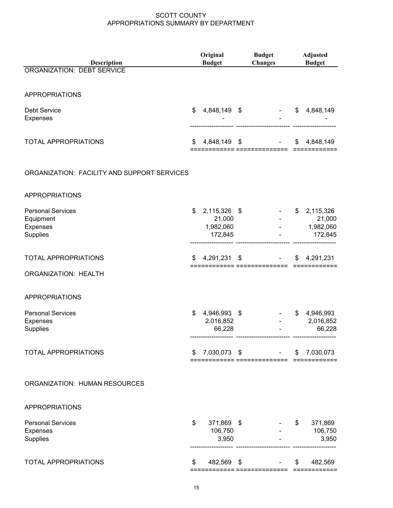|                                                               | Original |                                                | <b>Budget</b>               |                           | <b>Adjusted</b>                               |  |  |
|---------------------------------------------------------------|----------|------------------------------------------------|-----------------------------|---------------------------|-----------------------------------------------|--|--|
| Description<br><b>ORGANIZATION: DEBT SERVICE</b>              |          | <b>Budget</b>                                  | <b>Changes</b>              |                           | <b>Budget</b>                                 |  |  |
|                                                               |          |                                                |                             |                           |                                               |  |  |
| <b>APPROPRIATIONS</b>                                         |          |                                                |                             |                           |                                               |  |  |
| <b>Debt Service</b><br><b>Expenses</b>                        | \$       | 4,848,149 \$                                   |                             | \$                        | 4,848,149                                     |  |  |
| TOTAL APPROPRIATIONS                                          | \$       | 4,848,149 \$                                   | ============ ============== | \$                        | 4,848,149                                     |  |  |
| ORGANIZATION: FACILITY AND SUPPORT SERVICES                   |          |                                                |                             |                           |                                               |  |  |
| <b>APPROPRIATIONS</b>                                         |          |                                                |                             |                           |                                               |  |  |
| <b>Personal Services</b><br>Equipment<br>Expenses<br>Supplies | \$       | 2,115,326 \$<br>21,000<br>1,982,060<br>172,845 |                             |                           | \$2,115,326<br>21,000<br>1,982,060<br>172,845 |  |  |
| TOTAL APPROPRIATIONS                                          | S        | 4,291,231 \$                                   |                             |                           | \$4,291,231                                   |  |  |
| <b>ORGANIZATION: HEALTH</b>                                   |          |                                                | ========= ==============    |                           |                                               |  |  |
| <b>APPROPRIATIONS</b>                                         |          |                                                |                             |                           |                                               |  |  |
| <b>Personal Services</b><br>Expenses<br>Supplies              | \$       | 4,946,993 \$<br>2,016,852<br>66,228            |                             | \$                        | 4,946,993<br>2,016,852<br>66,228              |  |  |
| <b>TOTAL APPROPRIATIONS</b>                                   | \$       | 7,030,073 \$                                   |                             | \$                        | 7,030,073                                     |  |  |
| ORGANIZATION: HUMAN RESOURCES                                 |          |                                                |                             |                           |                                               |  |  |
| <b>APPROPRIATIONS</b>                                         |          |                                                |                             |                           |                                               |  |  |
| <b>Personal Services</b><br><b>Expenses</b><br>Supplies       | \$       | 371,869 \$<br>106,750<br>3,950                 |                             | \$                        | 371,869<br>106,750<br>3,950                   |  |  |
| <b>TOTAL APPROPRIATIONS</b>                                   | \$       |                                                | 482,569 \$                  | $\boldsymbol{\mathsf{S}}$ | 482,569                                       |  |  |
|                                                               |          |                                                |                             |                           |                                               |  |  |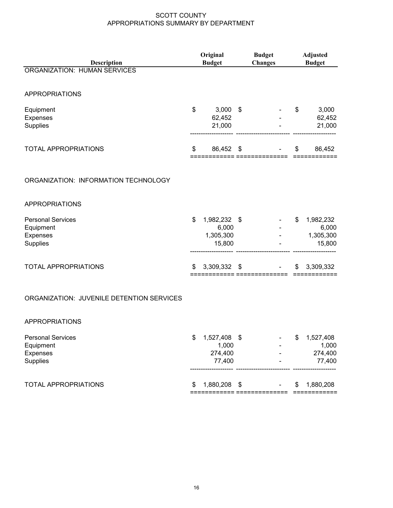| Description                                                   | Original<br><b>Budget</b> |                                              | <b>Budget</b><br><b>Changes</b> |                              | <b>Adjusted</b><br><b>Budget</b> |                                           |
|---------------------------------------------------------------|---------------------------|----------------------------------------------|---------------------------------|------------------------------|----------------------------------|-------------------------------------------|
| <b>ORGANIZATION: HUMAN SERVICES</b>                           |                           |                                              |                                 |                              |                                  |                                           |
| <b>APPROPRIATIONS</b>                                         |                           |                                              |                                 |                              |                                  |                                           |
| Equipment<br><b>Expenses</b><br>Supplies                      | \$                        | 3,000<br>62,452<br>21,000                    | -\$                             |                              | \$                               | 3,000<br>62,452<br>21,000                 |
| <b>TOTAL APPROPRIATIONS</b>                                   | \$                        | 86,452                                       | \$                              | ============ ==============  | \$                               | 86,452                                    |
| ORGANIZATION: INFORMATION TECHNOLOGY                          |                           |                                              |                                 |                              |                                  |                                           |
| <b>APPROPRIATIONS</b>                                         |                           |                                              |                                 |                              |                                  |                                           |
| <b>Personal Services</b><br>Equipment<br>Expenses<br>Supplies | \$                        | 1,982,232 \$<br>6,000<br>1,305,300<br>15,800 |                                 |                              | \$                               | 1,982,232<br>6,000<br>1,305,300<br>15,800 |
| <b>TOTAL APPROPRIATIONS</b>                                   | \$                        | 3,309,332 \$                                 |                                 |                              | \$                               | 3,309,332                                 |
| ORGANIZATION: JUVENILE DETENTION SERVICES                     |                           |                                              |                                 |                              |                                  |                                           |
| <b>APPROPRIATIONS</b>                                         |                           |                                              |                                 |                              |                                  |                                           |
| <b>Personal Services</b><br>Equipment<br>Expenses<br>Supplies | \$                        | 1,527,408 \$<br>1,000<br>274,400<br>77,400   |                                 |                              | $\frac{1}{2}$                    | 1,527,408<br>1,000<br>274,400<br>77,400   |
| TOTAL APPROPRIATIONS                                          | \$                        | 1,880,208                                    | \$                              | ============ =============== | \$                               | 1,880,208<br>============                 |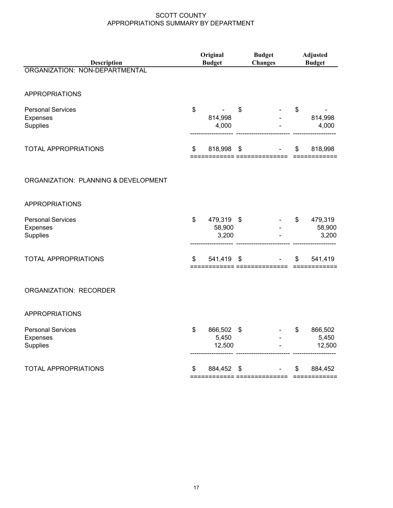| Description                                             | Original<br><b>Budget</b> |                                     | <b>Budget</b><br><b>Changes</b> |  | <b>Adjusted</b><br><b>Budget</b> |                            |  |
|---------------------------------------------------------|---------------------------|-------------------------------------|---------------------------------|--|----------------------------------|----------------------------|--|
| ORGANIZATION: NON-DEPARTMENTAL                          |                           |                                     |                                 |  |                                  |                            |  |
| <b>APPROPRIATIONS</b>                                   |                           |                                     |                                 |  |                                  |                            |  |
| <b>Personal Services</b><br>Expenses<br>Supplies        | \$                        | 814,998<br>4,000                    | \$                              |  | \$                               | 814,998<br>4,000           |  |
| TOTAL APPROPRIATIONS                                    | \$                        | 818,998                             | \$                              |  | \$                               | 818,998                    |  |
| ORGANIZATION: PLANNING & DEVELOPMENT                    |                           |                                     |                                 |  |                                  |                            |  |
| <b>APPROPRIATIONS</b>                                   |                           |                                     |                                 |  |                                  |                            |  |
| <b>Personal Services</b><br>Expenses<br>Supplies        | \$                        | 479,319 \$<br>58,900<br>3,200       |                                 |  | \$                               | 479,319<br>58,900<br>3,200 |  |
| <b>TOTAL APPROPRIATIONS</b>                             | \$                        | 541,419<br>=========== ============ | \$                              |  | \$                               | 541,419                    |  |
| <b>ORGANIZATION: RECORDER</b>                           |                           |                                     |                                 |  |                                  |                            |  |
| <b>APPROPRIATIONS</b>                                   |                           |                                     |                                 |  |                                  |                            |  |
| <b>Personal Services</b><br><b>Expenses</b><br>Supplies | \$                        | 866,502 \$<br>5,450<br>12,500       |                                 |  | \$                               | 866,502<br>5,450<br>12,500 |  |
| <b>TOTAL APPROPRIATIONS</b>                             | \$                        | 884,452 \$                          |                                 |  | \$                               | 884,452                    |  |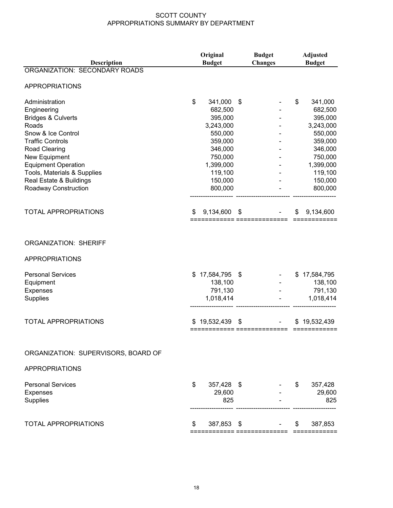|                                     | Original<br>Description<br><b>Budget</b> |                       | <b>Budget</b>  | <b>Adjusted</b> |
|-------------------------------------|------------------------------------------|-----------------------|----------------|-----------------|
| ORGANIZATION: SECONDARY ROADS       |                                          |                       | <b>Changes</b> | <b>Budget</b>   |
|                                     |                                          |                       |                |                 |
| <b>APPROPRIATIONS</b>               |                                          |                       |                |                 |
| Administration                      | \$                                       | 341,000               | \$             | \$<br>341,000   |
| Engineering                         |                                          | 682,500               |                | 682,500         |
| <b>Bridges &amp; Culverts</b>       |                                          | 395,000               |                | 395,000         |
| Roads                               |                                          | 3,243,000             |                | 3,243,000       |
| Snow & Ice Control                  |                                          | 550,000               |                | 550,000         |
| <b>Traffic Controls</b>             |                                          | 359,000               |                | 359,000         |
| Road Clearing                       |                                          | 346,000               |                | 346,000         |
| New Equipment                       |                                          | 750,000               |                | 750,000         |
| <b>Equipment Operation</b>          |                                          | 1,399,000             |                | 1,399,000       |
| Tools, Materials & Supplies         |                                          | 119,100               |                | 119,100         |
| Real Estate & Buildings             |                                          | 150,000               |                | 150,000         |
| Roadway Construction                |                                          | 800,000               |                | 800,000         |
| <b>TOTAL APPROPRIATIONS</b>         | \$                                       | 9,134,600             | \$             | \$<br>9,134,600 |
|                                     |                                          | ========= =========== |                |                 |
| <b>ORGANIZATION: SHERIFF</b>        |                                          |                       |                |                 |
|                                     |                                          |                       |                |                 |
| <b>APPROPRIATIONS</b>               |                                          |                       |                |                 |
| <b>Personal Services</b>            | \$                                       | 17,584,795            | \$             | \$17,584,795    |
| Equipment                           |                                          | 138,100               |                | 138,100         |
| <b>Expenses</b>                     |                                          | 791,130               |                | 791,130         |
| <b>Supplies</b>                     |                                          | 1,018,414             |                | 1,018,414       |
| <b>TOTAL APPROPRIATIONS</b>         | S                                        | 19,532,439            | \$             | \$19,532,439    |
|                                     |                                          |                       |                |                 |
| ORGANIZATION: SUPERVISORS, BOARD OF |                                          |                       |                |                 |
|                                     |                                          |                       |                |                 |
| <b>APPROPRIATIONS</b>               |                                          |                       |                |                 |
| <b>Personal Services</b>            | \$                                       | 357,428 \$            |                | \$<br>357,428   |
| <b>Expenses</b>                     |                                          | 29,600                |                | 29,600          |
| Supplies                            |                                          | 825                   |                | 825             |
| <b>TOTAL APPROPRIATIONS</b>         | \$                                       | 387,853 \$            |                | \$<br>387,853   |
|                                     |                                          |                       |                |                 |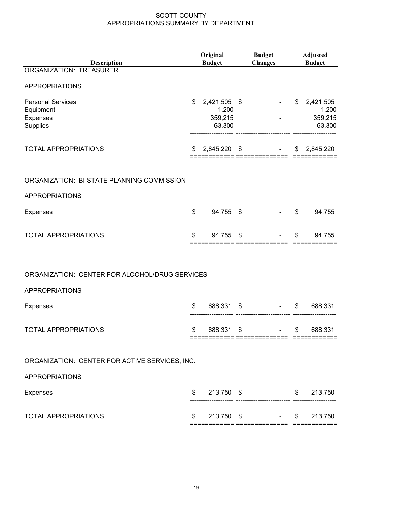| Description                                    | Original<br><b>Budget</b> |                       | <b>Budget</b><br><b>Changes</b> | <b>Adjusted</b><br><b>Budget</b> |    |                             |
|------------------------------------------------|---------------------------|-----------------------|---------------------------------|----------------------------------|----|-----------------------------|
| <b>ORGANIZATION: TREASURER</b>                 |                           |                       |                                 |                                  |    |                             |
| <b>APPROPRIATIONS</b>                          |                           |                       |                                 |                                  |    |                             |
| <b>Personal Services</b><br>Equipment          | \$                        | 2,421,505 \$<br>1,200 |                                 |                                  |    | \$2,421,505<br>1,200        |
| Expenses<br>Supplies                           |                           | 359,215<br>63,300     |                                 |                                  |    | 359,215<br>63,300           |
| TOTAL APPROPRIATIONS                           | \$                        | 2,845,220 \$          |                                 | ============ ===============     |    | \$2,845,220<br>============ |
| ORGANIZATION: BI-STATE PLANNING COMMISSION     |                           |                       |                                 |                                  |    |                             |
| <b>APPROPRIATIONS</b>                          |                           |                       |                                 |                                  |    |                             |
| Expenses                                       | \$                        | 94,755 \$             |                                 |                                  |    | $-$ \$ 94,755               |
| <b>TOTAL APPROPRIATIONS</b>                    | \$                        |                       |                                 | $94,755$ \$ - \$                 |    | 94,755                      |
| ORGANIZATION: CENTER FOR ALCOHOL/DRUG SERVICES |                           |                       |                                 |                                  |    |                             |
| <b>APPROPRIATIONS</b>                          |                           |                       |                                 |                                  |    |                             |
| <b>Expenses</b>                                | \$                        |                       |                                 | 688,331 \$<br>$-$ \$             |    | 688,331                     |
| <b>TOTAL APPROPRIATIONS</b>                    | \$                        | 688,331 \$            |                                 | <b>Contract Contract</b>         | \$ | 688,331                     |
| ORGANIZATION: CENTER FOR ACTIVE SERVICES, INC. |                           |                       |                                 |                                  |    |                             |
| <b>APPROPRIATIONS</b>                          |                           |                       |                                 |                                  |    |                             |
| <b>Expenses</b>                                | \$                        |                       |                                 | 213,750 \$ - \$ 213,750          |    |                             |
| <b>TOTAL APPROPRIATIONS</b>                    | \$                        |                       |                                 | $213,750$ \$ - \$                |    | 213,750                     |
|                                                |                           |                       |                                 |                                  |    |                             |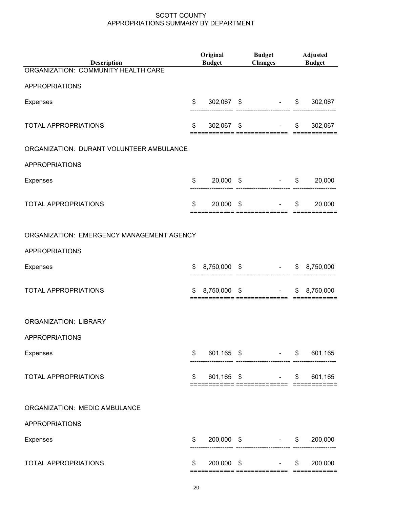| Description                               | Original<br><b>Budget</b> |  | <b>Budget</b><br><b>Changes</b> Budget           |                | <b>Adjusted</b> |  |  |
|-------------------------------------------|---------------------------|--|--------------------------------------------------|----------------|-----------------|--|--|
| ORGANIZATION: COMMUNITY HEALTH CARE       |                           |  |                                                  |                |                 |  |  |
| <b>APPROPRIATIONS</b>                     |                           |  |                                                  |                |                 |  |  |
| <b>Expenses</b>                           | \$                        |  | 302,067 \$ - \$ 302,067                          |                |                 |  |  |
| <b>TOTAL APPROPRIATIONS</b>               | \$                        |  | $302,067$ \$<br>============= ===============    | $\mathfrak{S}$ | 302,067         |  |  |
| ORGANIZATION: DURANT VOLUNTEER AMBULANCE  |                           |  |                                                  |                |                 |  |  |
| <b>APPROPRIATIONS</b>                     |                           |  |                                                  |                |                 |  |  |
| <b>Expenses</b>                           |                           |  | $$20,000$ \$ - \$ 20,000<br>                     |                |                 |  |  |
| <b>TOTAL APPROPRIATIONS</b>               | \$                        |  | $20,000$ \$<br>$-$ \$                            |                | 20,000          |  |  |
| ORGANIZATION: EMERGENCY MANAGEMENT AGENCY |                           |  |                                                  |                |                 |  |  |
| <b>APPROPRIATIONS</b>                     |                           |  |                                                  |                |                 |  |  |
| Expenses                                  |                           |  | $$8,750,000$ \$ $$8,750,000$                     |                |                 |  |  |
| TOTAL APPROPRIATIONS                      |                           |  | $$8,750,000$ \$ $$8,750,000$                     |                |                 |  |  |
| <b>ORGANIZATION: LIBRARY</b>              |                           |  |                                                  |                |                 |  |  |
| <b>APPROPRIATIONS</b>                     |                           |  |                                                  |                |                 |  |  |
| <b>Expenses</b>                           | \$                        |  |                                                  |                |                 |  |  |
| <b>TOTAL APPROPRIATIONS</b>               | \$                        |  | $601,165$ \$ -<br>============= ================ | $\mathsf{S}$   | 601,165         |  |  |
| ORGANIZATION: MEDIC AMBULANCE             |                           |  |                                                  |                |                 |  |  |
| <b>APPROPRIATIONS</b>                     |                           |  |                                                  |                |                 |  |  |
| Expenses                                  | \$                        |  | $200,000 \quad$ \$ - \$                          |                | 200,000         |  |  |
| TOTAL APPROPRIATIONS                      | \$                        |  | $200,000$ \$ - \$                                |                | 200,000         |  |  |
|                                           |                           |  |                                                  |                |                 |  |  |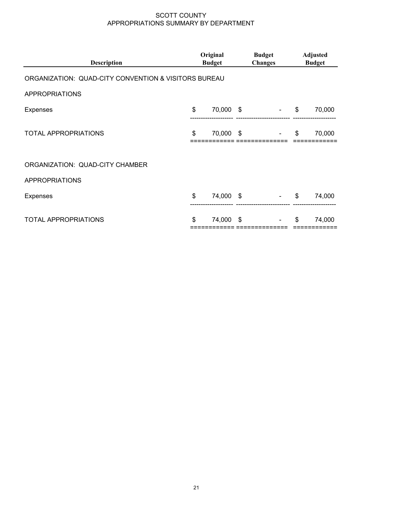| <b>Description</b>                                   | Original<br><b>Budget</b> |    | <b>Budget</b><br><b>Changes</b> | <b>Adjusted</b><br><b>Budget</b> |
|------------------------------------------------------|---------------------------|----|---------------------------------|----------------------------------|
| ORGANIZATION: QUAD-CITY CONVENTION & VISITORS BUREAU |                           |    |                                 |                                  |
| <b>APPROPRIATIONS</b>                                |                           |    |                                 |                                  |
| <b>Expenses</b>                                      | \$<br>70,000 \$           |    | $\sim 100$ km s $^{-1}$         | \$<br>70,000                     |
| <b>TOTAL APPROPRIATIONS</b>                          | \$<br>70,000 \$           |    | $\sim$                          | \$<br>70,000                     |
| ORGANIZATION: QUAD-CITY CHAMBER                      |                           |    |                                 |                                  |
| <b>APPROPRIATIONS</b>                                |                           |    |                                 |                                  |
| <b>Expenses</b>                                      | \$<br>74,000 \$           |    | $\sim$                          | \$<br>74,000                     |
| TOTAL APPROPRIATIONS                                 | \$<br>74,000              | \$ |                                 | \$<br>74,000                     |